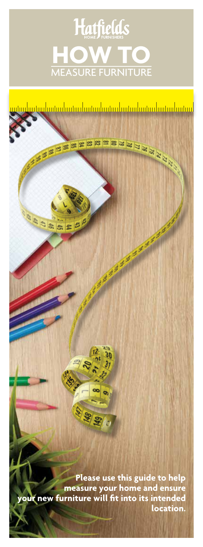# Hatfields **HOW TO** MEASURE FURNITURE

ASSESSEERSEESEER

And March 1989

**Please use this guide to help measure your home and ensure your new furniture will fit into its intended location.**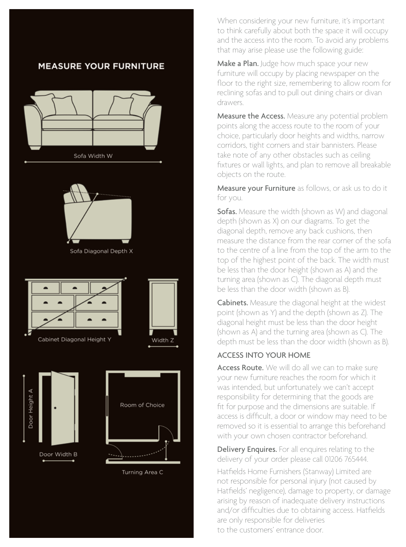### **MEASURE YOUR FURNITURE**





Sofa Diagonal Depth X







Turning Area C

When considering your new furniture, it's important to think carefully about both the space it will occupy and the access into the room. To avoid any problems that may arise please use the following guide:

Make a Plan. Judge how much space your new furniture will occupy by placing newspaper on the floor to the right size, remembering to allow room for reclining sofas and to pull out dining chairs or divan drawers.

Measure the Access. Measure any potential problem points along the access route to the room of your choice, particularly door heights and widths, narrow corridors, tight corners and stair bannisters. Please take note of any other obstacles such as ceiling fixtures or wall lights, and plan to remove all breakable objects on the route.

Measure your Furniture as follows, or ask us to do it for you.

**Sofas.** Measure the width (shown as W) and diagonal depth (shown as X) on our diagrams. To get the diagonal depth, remove any back cushions, then measure the distance from the rear corner of the sofa to the centre of a line from the top of the arm to the top of the highest point of the back. The width must be less than the door height (shown as A) and the turning area (shown as C). The diagonal depth must be less than the door width (shown as B).

Cabinets. Measure the diagonal height at the widest point (shown as Y) and the depth (shown as Z). The diagonal height must be less than the door height (shown as A) and the turning area (shown as C). The depth must be less than the door width (shown as B).

#### ACCESS INTO YOUR HOME

Access Route. We will do all we can to make sure your new furniture reaches the room for which it was intended, but unfortunately we can't accept responsibility for determining that the goods are fit for purpose and the dimensions are suitable. If access is difficult, a door or window may need to be removed so it is essential to arrange this beforehand with your own chosen contractor beforehand.

Delivery Enquires. For all enquires relating to the delivery of your order please call 01206 765444.

Hatfields Home Furnishers (Stanway) Limited are not responsible for personal injury (not caused by Hatfields' negligence), damage to property, or damage arising by reason of inadequate delivery instructions and/or difficulties due to obtaining access. Hatfields are only responsible for deliveries to the customers' entrance door.